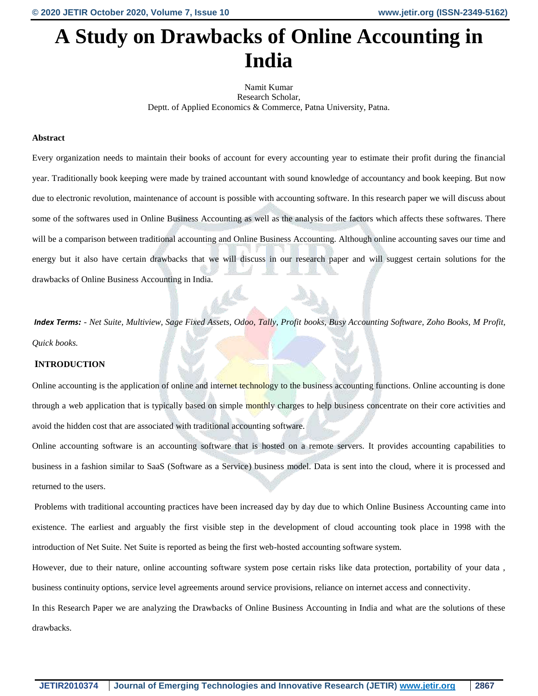# **A Study on Drawbacks of Online Accounting in India**

Namit Kumar Research Scholar, Deptt. of Applied Economics & Commerce, Patna University, Patna.

## **Abstract**

Every organization needs to maintain their books of account for every accounting year to estimate their profit during the financial year. Traditionally book keeping were made by trained accountant with sound knowledge of accountancy and book keeping. But now due to electronic revolution, maintenance of account is possible with accounting software. In this research paper we will discuss about some of the softwares used in Online Business Accounting as well as the analysis of the factors which affects these softwares. There will be a comparison between traditional accounting and Online Business Accounting. Although online accounting saves our time and energy but it also have certain drawbacks that we will discuss in our research paper and will suggest certain solutions for the drawbacks of Online Business Accounting in India.

*Index Terms: - Net Suite, Multiview, Sage Fixed Assets, Odoo, Tally, Profit books, Busy Accounting Software, Zoho Books, M Profit, Quick books.*

#### **INTRODUCTION**

Online accounting is the application of online and internet technology to the business accounting functions. Online accounting is done through a web application that is typically based on simple monthly charges to help business concentrate on their core activities and avoid the hidden cost that are associated with traditional accounting software.

Online accounting software is an accounting software that is hosted on a remote servers. It provides accounting capabilities to business in a fashion similar to SaaS (Software as a Service) business model. Data is sent into the cloud, where it is processed and returned to the users.

Problems with traditional accounting practices have been increased day by day due to which Online Business Accounting came into existence. The earliest and arguably the first visible step in the development of cloud accounting took place in 1998 with the introduction of Net Suite. Net Suite is reported as being the first web-hosted accounting software system.

However, due to their nature, online accounting software system pose certain risks like data protection, portability of your data , business continuity options, service level agreements around service provisions, reliance on internet access and connectivity.

In this Research Paper we are analyzing the Drawbacks of Online Business Accounting in India and what are the solutions of these drawbacks.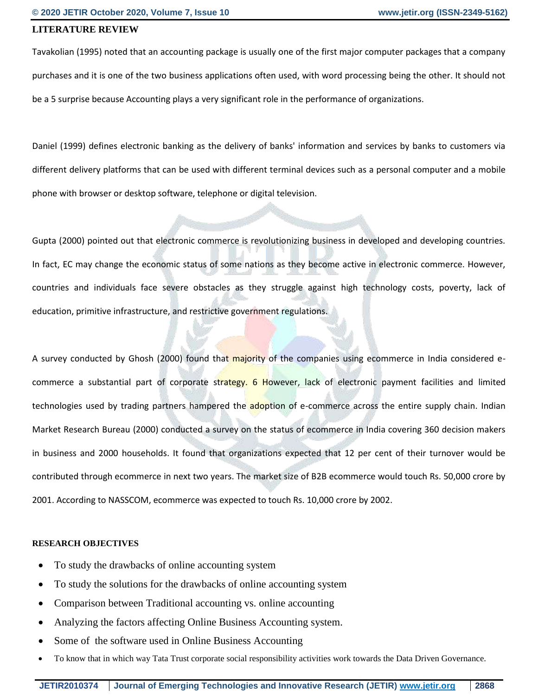# **LITERATURE REVIEW**

Tavakolian (1995) noted that an accounting package is usually one of the first major computer packages that a company purchases and it is one of the two business applications often used, with word processing being the other. It should not be a 5 surprise because Accounting plays a very significant role in the performance of organizations.

Daniel (1999) defines electronic banking as the delivery of banks' information and services by banks to customers via different delivery platforms that can be used with different terminal devices such as a personal computer and a mobile phone with browser or desktop software, telephone or digital television.

Gupta (2000) pointed out that electronic commerce is revolutionizing business in developed and developing countries. In fact, EC may change the economic status of some nations as they become active in electronic commerce. However, countries and individuals face severe obstacles as they struggle against high technology costs, poverty, lack of education, primitive infrastructure, and restrictive government regulations.

A survey conducted by Ghosh (2000) found that majority of the companies using ecommerce in India considered ecommerce a substantial part of corporate strategy. 6 However, lack of electronic payment facilities and limited technologies used by trading partners hampered the **adoption of e-commerce across the entire supply chain. Indian** Market Research Bureau (2000) conducted a survey on the status of ecommerce in India covering 360 decision makers in business and 2000 households. It found that organizations expected that 12 per cent of their turnover would be contributed through ecommerce in next two years. The market size of B2B ecommerce would touch Rs. 50,000 crore by 2001. According to NASSCOM, ecommerce was expected to touch Rs. 10,000 crore by 2002.

# **RESEARCH OBJECTIVES**

- To study the drawbacks of online accounting system
- To study the solutions for the drawbacks of online accounting system
- Comparison between Traditional accounting vs. online accounting
- Analyzing the factors affecting Online Business Accounting system.
- Some of the software used in Online Business Accounting
- To know that in which way Tata Trust corporate social responsibility activities work towards the Data Driven Governance.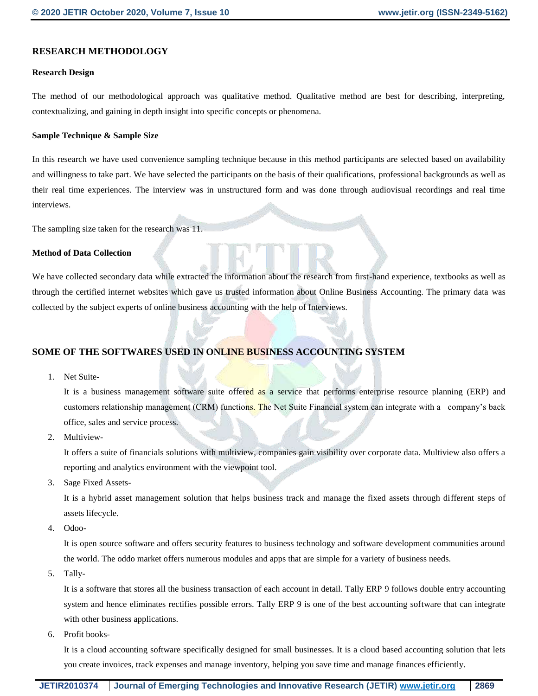# **RESEARCH METHODOLOGY**

## **Research Design**

The method of our methodological approach was qualitative method. Qualitative method are best for describing, interpreting, contextualizing, and gaining in depth insight into specific concepts or phenomena.

## **Sample Technique & Sample Size**

In this research we have used convenience sampling technique because in this method participants are selected based on availability and willingness to take part. We have selected the participants on the basis of their qualifications, professional backgrounds as well as their real time experiences. The interview was in unstructured form and was done through audiovisual recordings and real time interviews.

The sampling size taken for the research was 11.

## **Method of Data Collection**

We have collected secondary data while extracted the information about the research from first-hand experience, textbooks as well as through the certified internet websites which gave us trusted information about Online Business Accounting. The primary data was collected by the subject experts of online business accounting with the help of Interviews.

# **SOME OF THE SOFTWARES USED IN ONLINE BUSINESS ACCOUNTING SYSTEM**

1. Net Suite-

It is a business management software suite offered as a service that performs enterprise resource planning (ERP) and customers relationship management (CRM) functions. The Net Suite Financial system can integrate with a company's back office, sales and service process.

2. Multiview-

It offers a suite of financials solutions with multiview, companies gain visibility over corporate data. Multiview also offers a reporting and analytics environment with the viewpoint tool.

3. Sage Fixed Assets-

It is a hybrid asset management solution that helps business track and manage the fixed assets through different steps of assets lifecycle.

4. Odoo-

It is open source software and offers security features to business technology and software development communities around the world. The oddo market offers numerous modules and apps that are simple for a variety of business needs.

5. Tally-

It is a software that stores all the business transaction of each account in detail. Tally ERP 9 follows double entry accounting system and hence eliminates rectifies possible errors. Tally ERP 9 is one of the best accounting software that can integrate with other business applications.

6. Profit books-

It is a cloud accounting software specifically designed for small businesses. It is a cloud based accounting solution that lets you create invoices, track expenses and manage inventory, helping you save time and manage finances efficiently.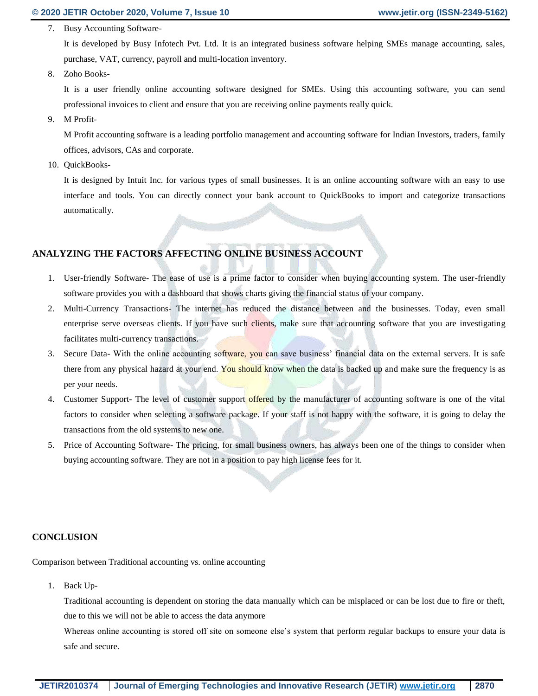7. Busy Accounting Software-

It is developed by Busy Infotech Pvt. Ltd. It is an integrated business software helping SMEs manage accounting, sales, purchase, VAT, currency, payroll and multi-location inventory.

8. Zoho Books-

It is a user friendly online accounting software designed for SMEs. Using this accounting software, you can send professional invoices to client and ensure that you are receiving online payments really quick.

9. M Profit-

M Profit accounting software is a leading portfolio management and accounting software for Indian Investors, traders, family offices, advisors, CAs and corporate.

10. QuickBooks-

It is designed by Intuit Inc. for various types of small businesses. It is an online accounting software with an easy to use interface and tools. You can directly connect your bank account to QuickBooks to import and categorize transactions automatically.

# **ANALYZING THE FACTORS AFFECTING ONLINE BUSINESS ACCOUNT**

- 1. User-friendly Software- The ease of use is a prime factor to consider when buying accounting system. The user-friendly software provides you with a dashboard that shows charts giving the financial status of your company.
- 2. Multi-Currency Transactions- The internet has reduced the distance between and the businesses. Today, even small enterprise serve overseas clients. If you have such clients, make sure that accounting software that you are investigating facilitates multi-currency transactions.
- 3. Secure Data- With the online accounting software, you can save business' financial data on the external servers. It is safe there from any physical hazard at your end. You should know when the data is backed up and make sure the frequency is as per your needs.
- 4. Customer Support- The level of customer support offered by the manufacturer of accounting software is one of the vital factors to consider when selecting a software package. If your staff is not happy with the software, it is going to delay the transactions from the old systems to new one.
- 5. Price of Accounting Software- The pricing, for small business owners, has always been one of the things to consider when buying accounting software. They are not in a position to pay high license fees for it.

# **CONCLUSION**

Comparison between Traditional accounting vs. online accounting

1. Back Up-

Traditional accounting is dependent on storing the data manually which can be misplaced or can be lost due to fire or theft, due to this we will not be able to access the data anymore

Whereas online accounting is stored off site on someone else's system that perform regular backups to ensure your data is safe and secure.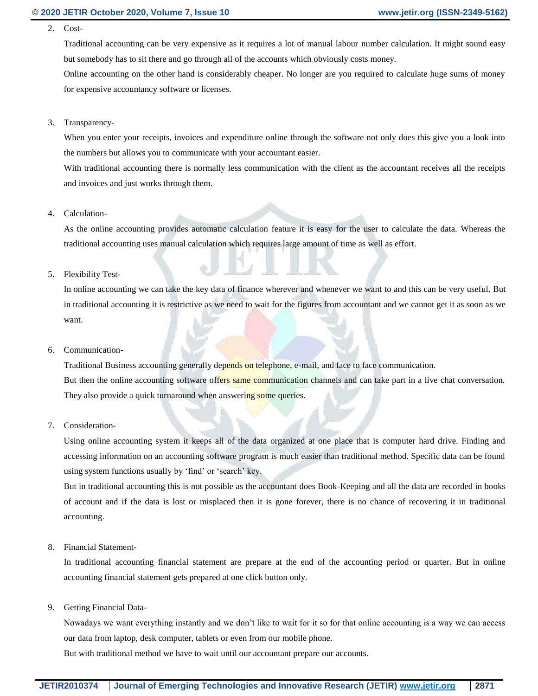2. Cost-

Traditional accounting can be very expensive as it requires a lot of manual labour number calculation. It might sound easy but somebody has to sit there and go through all of the accounts which obviously costs money.

Online accounting on the other hand is considerably cheaper. No longer are you required to calculate huge sums of money for expensive accountancy software or licenses.

3. Transparency-

When you enter your receipts, invoices and expenditure online through the software not only does this give you a look into the numbers but allows you to communicate with your accountant easier.

With traditional accounting there is normally less communication with the client as the accountant receives all the receipts and invoices and just works through them.

4. Calculation-

As the online accounting provides automatic calculation feature it is easy for the user to calculate the data. Whereas the traditional accounting uses manual calculation which requires large amount of time as well as effort.

## 5. Flexibility Test-

In online accounting we can take the key data of finance wherever and whenever we want to and this can be very useful. But in traditional accounting it is restrictive as we need to wait for the figures from accountant and we cannot get it as soon as we want.

#### 6. Communication-

Traditional Business accounting generally depends on telephone, e-mail, and face to face communication. But then the online accounting software offers same communication channels and can take part in a live chat conversation. They also provide a quick turnaround when answering some queries.

# 7. Consideration-

Using online accounting system it keeps all of the data organized at one place that is computer hard drive. Finding and accessing information on an accounting software program is much easier than traditional method. Specific data can be found using system functions usually by 'find' or 'search' key.

But in traditional accounting this is not possible as the accountant does Book-Keeping and all the data are recorded in books of account and if the data is lost or misplaced then it is gone forever, there is no chance of recovering it in traditional accounting.

8. Financial Statement-

In traditional accounting financial statement are prepare at the end of the accounting period or quarter. But in online accounting financial statement gets prepared at one click button only.

9. Getting Financial Data-

Nowadays we want everything instantly and we don't like to wait for it so for that online accounting is a way we can access our data from laptop, desk computer, tablets or even from our mobile phone.

But with traditional method we have to wait until our accountant prepare our accounts.